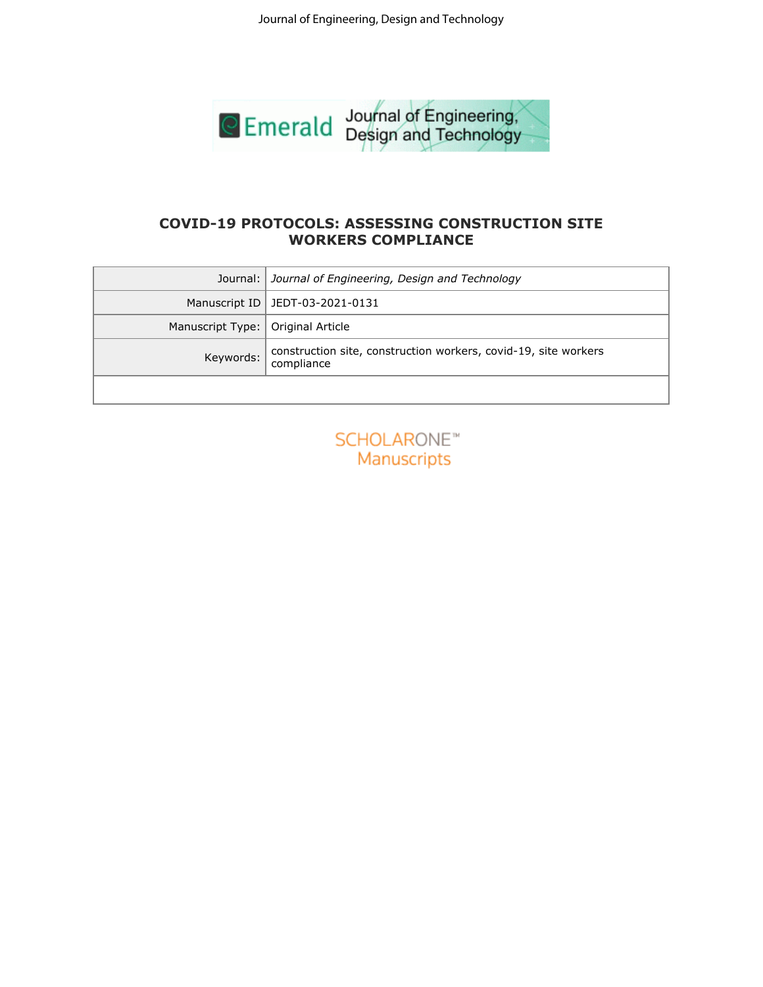

# **WORKERS COMPLIANCE**

|                  | Journal of Engineering, Design and Technology                                 |
|------------------|-------------------------------------------------------------------------------|
|                  |                                                                               |
|                  |                                                                               |
|                  |                                                                               |
|                  | <b>Emerald</b> Journal of Engineering,                                        |
|                  |                                                                               |
|                  |                                                                               |
|                  | <b>COVID-19 PROTOCOLS: ASSESSING CONSTRUCTION SITE</b>                        |
|                  | <b>WORKERS COMPLIANCE</b>                                                     |
| Journal:         | Journal of Engineering, Design and Technology                                 |
| Manuscript ID    | JEDT-03-2021-0131                                                             |
| Manuscript Type: | Original Article                                                              |
| Keywords:        | construction site, construction workers, covid-19, site workers<br>compliance |
|                  |                                                                               |
|                  |                                                                               |
|                  | <b>SCHOLARONE™</b>                                                            |
|                  | Manuscripts                                                                   |
|                  |                                                                               |
|                  |                                                                               |
|                  |                                                                               |
|                  |                                                                               |
|                  |                                                                               |
|                  |                                                                               |
|                  |                                                                               |
|                  |                                                                               |
|                  |                                                                               |
|                  |                                                                               |
|                  |                                                                               |
|                  |                                                                               |
|                  |                                                                               |
|                  |                                                                               |
|                  |                                                                               |
|                  |                                                                               |
|                  |                                                                               |
|                  |                                                                               |
|                  |                                                                               |
|                  |                                                                               |

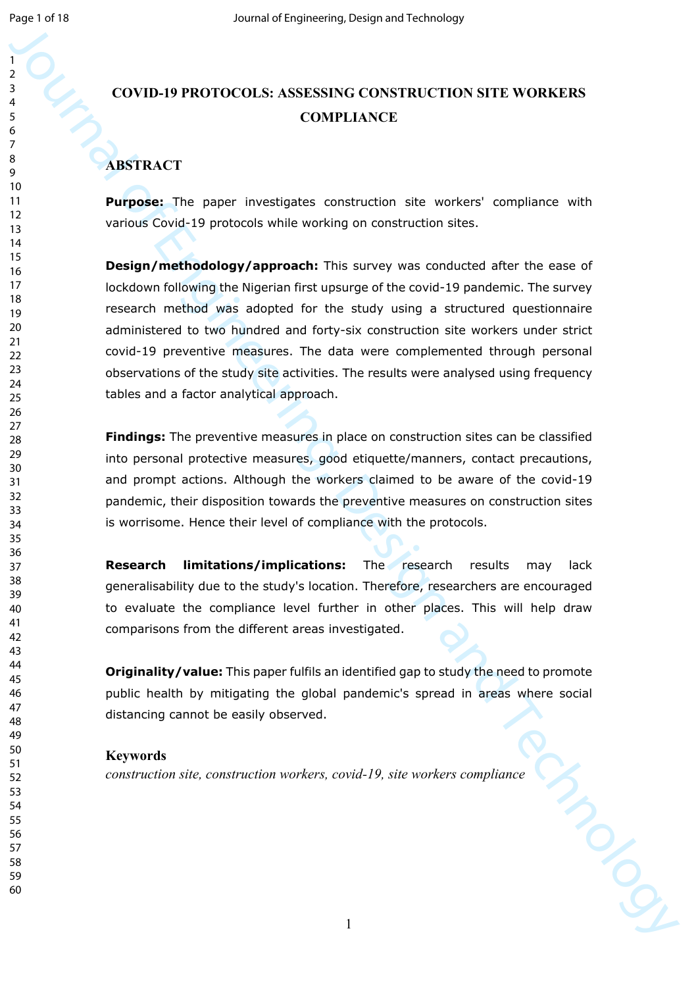# **COVID-19 PROTOCOLS: ASSESSING CONSTRUCTION SITE WORKERS COMPLIANCE**

## **ABSTRACT**

**Purpose:** The paper investigates construction site workers' compliance with various Covid-19 protocols while working on construction sites.

Journal of Engineering and Technology (CONSTRACTION STEE WORKERS<br>
3<br>
SURTRACT<br>
2<br>
SURTRACT<br>
2<br>
SURTRACT<br>
2<br>
SURTRACT<br>
2<br>
SURTRACT<br>
2<br>
SURTRACT<br>
2<br>
SURTRACT<br>
2<br>
SURTRACT<br>
2<br>
SURTRACT<br>
2<br>
SURTRACT<br>
2<br>
SURTRACT<br>
2<br>
SURTRACT<br> **Design/methodology/approach:** This survey was conducted after the ease of lockdown following the Nigerian first upsurge of the covid-19 pandemic. The survey research method was adopted for the study using a structured questionnaire administered to two hundred and forty-six construction site workers under strict covid-19 preventive measures. The data were complemented through personal observations of the study site activities. The results were analysed using frequency tables and a factor analytical approach.

**Findings:** The preventive measures in place on construction sites can be classified into personal protective measures, good etiquette/manners, contact precautions, and prompt actions. Although the workers claimed to be aware of the covid-19 pandemic, their disposition towards the preventive measures on construction sites is worrisome. Hence their level of compliance with the protocols.

**Research limitations/implications:** The research results may lack generalisability due to the study's location. Therefore, researchers are encouraged to evaluate the compliance level further in other places. This will help draw comparisons from the different areas investigated.

**Originality/value:** This paper fulfils an identified gap to study the need to promote public health by mitigating the global pandemic's spread in areas where social distancing cannot be easily observed.

#### **Keywords**

*construction site, construction workers, covid-19, site workers compliance*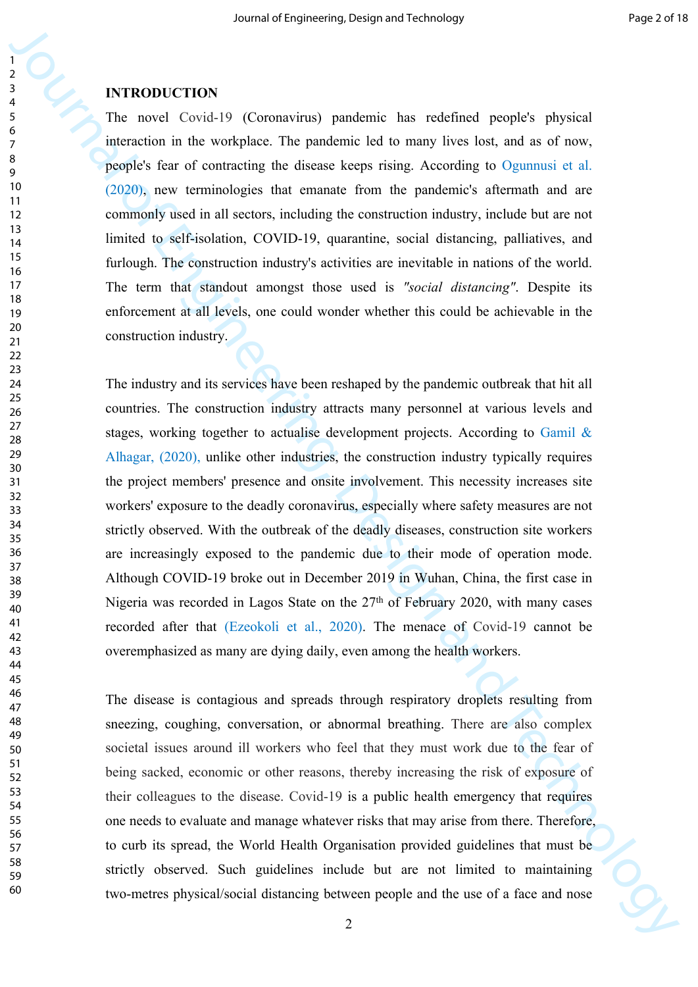#### **INTRODUCTION**

The novel Covid-19 (Coronavirus) pandemic has redefined people's physical interaction in the workplace. The pandemic led to many lives lost, and as of now, people's fear of contracting the disease keeps rising. According to Ogunnusi et al. (2020), new terminologies that emanate from the pandemic's aftermath and are commonly used in all sectors, including the construction industry, include but are not limited to self-isolation, COVID-19, quarantine, social distancing, palliatives, and furlough. The construction industry's activities are inevitable in nations of the world. The term that standout amongst those used is *"social distancing"*. Despite its enforcement at all levels, one could wonder whether this could be achievable in the construction industry.

**S**<br> **EXERCODECTION**<br> **EXERCODECTION**<br> **EXERCONATE CONSULTERING TO EXERCONATE (SECULAR CONSULTERING)**<br> **EXERCONATE CONSULTERING TO EXERCONATE CONSULTERING AND THE CONSULTERING AND THE CONSULTERING AND CONSULTERING AND CON** The industry and its services have been reshaped by the pandemic outbreak that hit all countries. The construction industry attracts many personnel at various levels and stages, working together to actualise development projects. According to Gamil & Alhagar, (2020), unlike other industries, the construction industry typically requires the project members' presence and onsite involvement. This necessity increases site workers' exposure to the deadly coronavirus, especially where safety measures are not strictly observed. With the outbreak of the deadly diseases, construction site workers are increasingly exposed to the pandemic due to their mode of operation mode. Although COVID-19 broke out in December 2019 in Wuhan, China, the first case in Nigeria was recorded in Lagos State on the  $27<sup>th</sup>$  of February 2020, with many cases recorded after that (Ezeokoli et al., 2020). The menace of Covid-19 cannot be overemphasized as many are dying daily, even among the health workers.

The disease is contagious and spreads through respiratory droplets resulting from sneezing, coughing, conversation, or abnormal breathing. There are also complex societal issues around ill workers who feel that they must work due to the fear of being sacked, economic or other reasons, thereby increasing the risk of exposure of their colleagues to the disease. Covid-19 is a public health emergency that requires one needs to evaluate and manage whatever risks that may arise from there. Therefore, to curb its spread, the World Health Organisation provided guidelines that must be strictly observed. Such guidelines include but are not limited to maintaining two-metres physical/social distancing between people and the use of a face and nose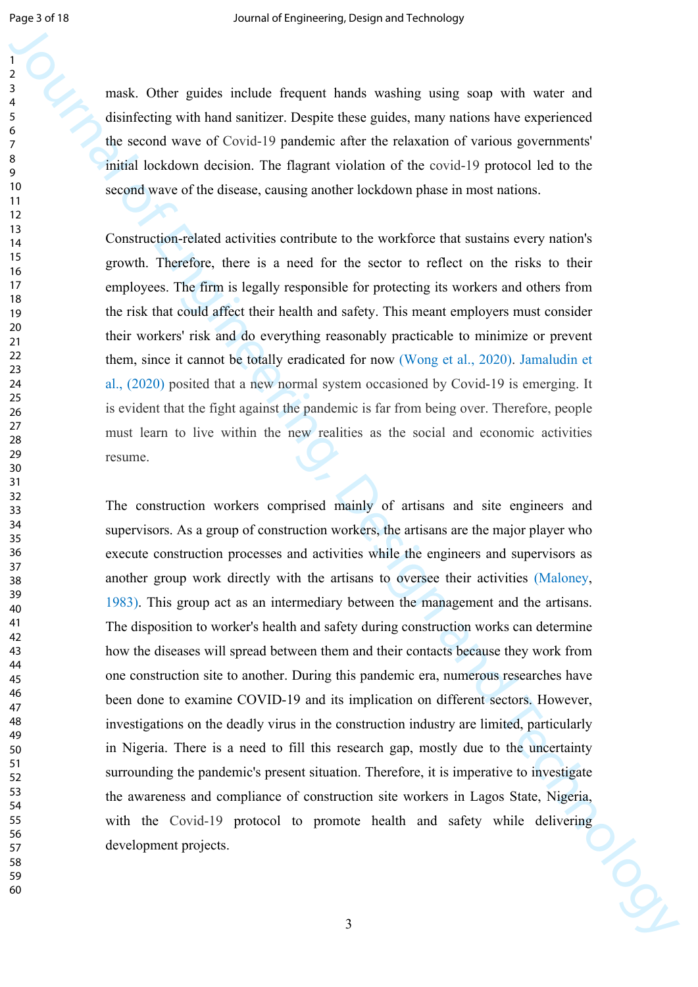mask. Other guides include frequent hands washing using soap with water and disinfecting with hand sanitizer. Despite these guides, many nations have experienced the second wave of Covid-19 pandemic after the relaxation of various governments' initial lockdown decision. The flagrant violation of the covid-19 protocol led to the second wave of the disease, causing another lockdown phase in most nations.

Construction-related activities contribute to the workforce that sustains every nation's growth. Therefore, there is a need for the sector to reflect on the risks to their employees. The firm is legally responsible for protecting its workers and others from the risk that could affect their health and safety. This meant employers must consider their workers' risk and do everything reasonably practicable to minimize or prevent them, since it cannot be totally eradicated for now (Wong et al., 2020). Jamaludin et al., (2020) posited that a new normal system occasioned by Covid-19 is emerging. It is evident that the fight against the pandemic is far from being over. Therefore, people must learn to live within the new realities as the social and economic activities resume.

**Fourthand COLUS (2008)** and the state of the state of the state of the state of the state of the state of the state of the state of the state of the state of the state of the state of the state of the state of the state The construction workers comprised mainly of artisans and site engineers and supervisors. As a group of construction workers, the artisans are the major player who execute construction processes and activities while the engineers and supervisors as another group work directly with the artisans to oversee their activities (Maloney, 1983). This group act as an intermediary between the management and the artisans. The disposition to worker's health and safety during construction works can determine how the diseases will spread between them and their contacts because they work from one construction site to another. During this pandemic era, numerous researches have been done to examine COVID-19 and its implication on different sectors. However, investigations on the deadly virus in the construction industry are limited, particularly in Nigeria. There is a need to fill this research gap, mostly due to the uncertainty surrounding the pandemic's present situation. Therefore, it is imperative to investigate the awareness and compliance of construction site workers in Lagos State, Nigeria, with the Covid-19 protocol to promote health and safety while delivering development projects.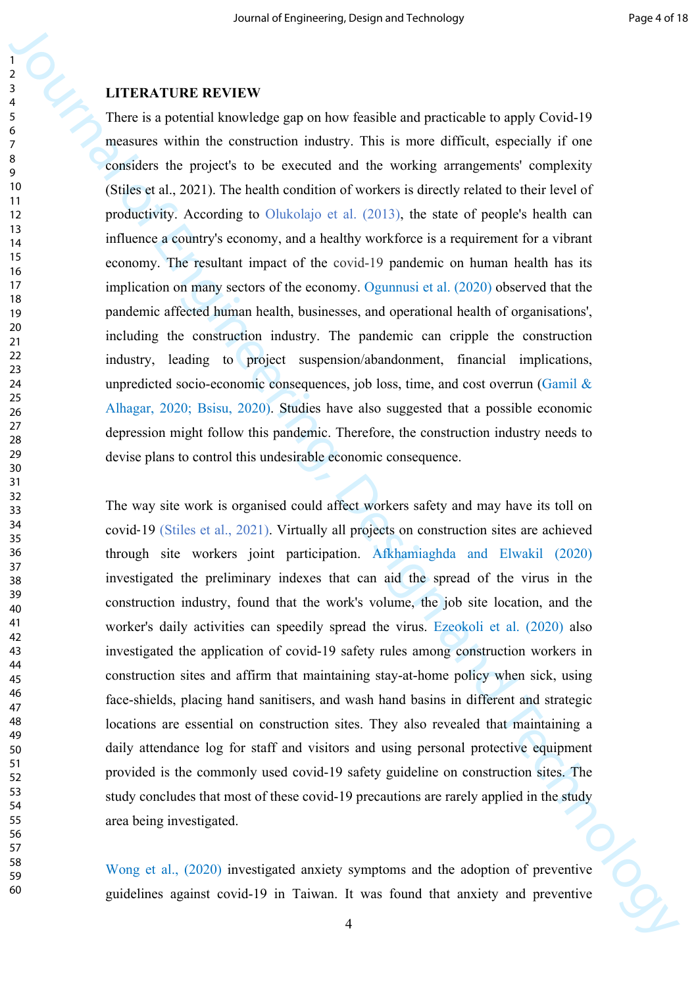## **LITERATURE REVIEW**

**FIRENTIONE REVIEW**<br> **EXERCISE REVIEW**<br> **EXERCISE REVIEW**<br> **EXERCISE REVIEW**<br> **EXERCISE REVIEW**<br> **EXERCISE REVIEW**<br> **EXERCISE REVIEW SERCISE REVIEW SERVE AND PROPERTIFICATION**<br> **EXERCISE THE AND CONSIST THE CONSIST AND TH** There is a potential knowledge gap on how feasible and practicable to apply Covid-19 measures within the construction industry. This is more difficult, especially if one considers the project's to be executed and the working arrangements' complexity (Stiles et al., 2021). The health condition of workers is directly related to their level of productivity. According to Olukolajo et al. (2013), the state of people's health can influence a country's economy, and a healthy workforce is a requirement for a vibrant economy. The resultant impact of the covid-19 pandemic on human health has its implication on many sectors of the economy. Ogunnusi et al. (2020) observed that the pandemic affected human health, businesses, and operational health of organisations', including the construction industry. The pandemic can cripple the construction industry, leading to project suspension/abandonment, financial implications, unpredicted socio-economic consequences, job loss, time, and cost overrun (Gamil  $\&$ Alhagar, 2020; Bsisu, 2020). Studies have also suggested that a possible economic depression might follow this pandemic. Therefore, the construction industry needs to devise plans to control this undesirable economic consequence.

The way site work is organised could affect workers safety and may have its toll on covid‐19 (Stiles et al., 2021). Virtually all projects on construction sites are achieved through site workers joint participation. Afkhamiaghda and Elwakil (2020) investigated the preliminary indexes that can aid the spread of the virus in the construction industry, found that the work's volume, the job site location, and the worker's daily activities can speedily spread the virus. Ezeokoli et al. (2020) also investigated the application of covid-19 safety rules among construction workers in construction sites and affirm that maintaining stay-at-home policy when sick, using face-shields, placing hand sanitisers, and wash hand basins in different and strategic locations are essential on construction sites. They also revealed that maintaining a daily attendance log for staff and visitors and using personal protective equipment provided is the commonly used covid-19 safety guideline on construction sites. The study concludes that most of these covid-19 precautions are rarely applied in the study area being investigated.

Wong et al., (2020) investigated anxiety symptoms and the adoption of preventive guidelines against covid-19 in Taiwan. It was found that anxiety and preventive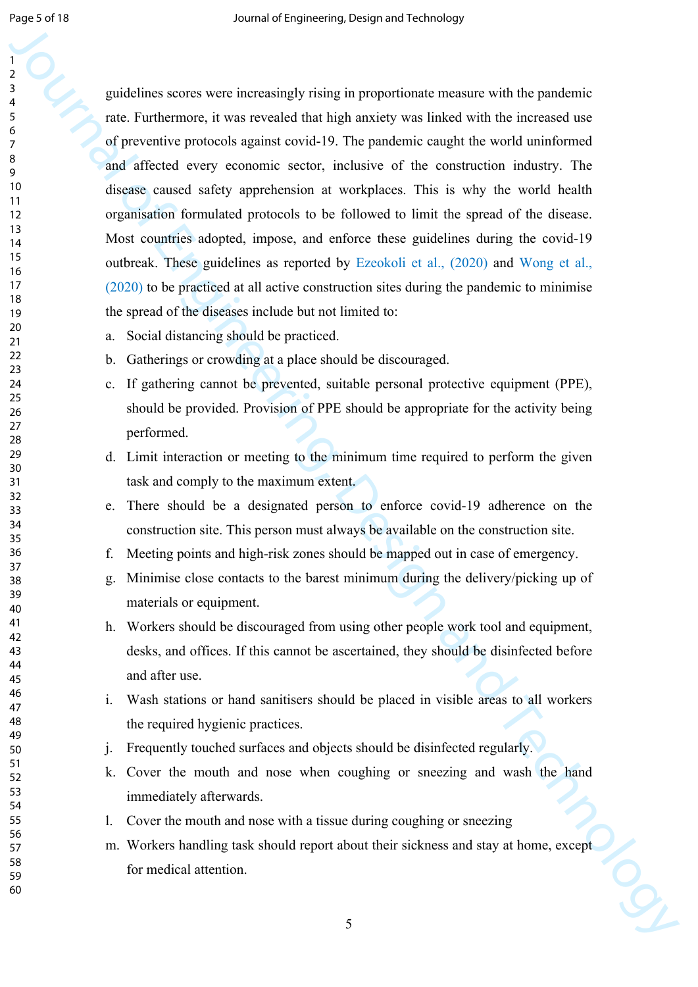**C**<br> **guidelines a corea were increasingly rising in proportionate measure with the prosedure<br>**  $\frac{1}{2}$  **and a Function reguire and the information and the the increased into the information of the stress of the content o** guidelines scores were increasingly rising in proportionate measure with the pandemic rate. Furthermore, it was revealed that high anxiety was linked with the increased use of preventive protocols against covid-19. The pandemic caught the world uninformed and affected every economic sector, inclusive of the construction industry. The disease caused safety apprehension at workplaces. This is why the world health organisation formulated protocols to be followed to limit the spread of the disease. Most countries adopted, impose, and enforce these guidelines during the covid-19 outbreak. These guidelines as reported by Ezeokoli et al., (2020) and Wong et al., (2020) to be practiced at all active construction sites during the pandemic to minimise the spread of the diseases include but not limited to:

- a. Social distancing should be practiced.
- b. Gatherings or crowding at a place should be discouraged.
- c. If gathering cannot be prevented, suitable personal protective equipment (PPE), should be provided. Provision of PPE should be appropriate for the activity being performed.
- d. Limit interaction or meeting to the minimum time required to perform the given task and comply to the maximum extent.
- e. There should be a designated person to enforce covid-19 adherence on the construction site. This person must always be available on the construction site.
- f. Meeting points and high-risk zones should be mapped out in case of emergency.
- g. Minimise close contacts to the barest minimum during the delivery/picking up of materials or equipment.
- h. Workers should be discouraged from using other people work tool and equipment, desks, and offices. If this cannot be ascertained, they should be disinfected before and after use.
- i. Wash stations or hand sanitisers should be placed in visible areas to all workers the required hygienic practices.
- j. Frequently touched surfaces and objects should be disinfected regularly.
- k. Cover the mouth and nose when coughing or sneezing and wash the hand immediately afterwards.
- l. Cover the mouth and nose with a tissue during coughing or sneezing
- m. Workers handling task should report about their sickness and stay at home, except for medical attention.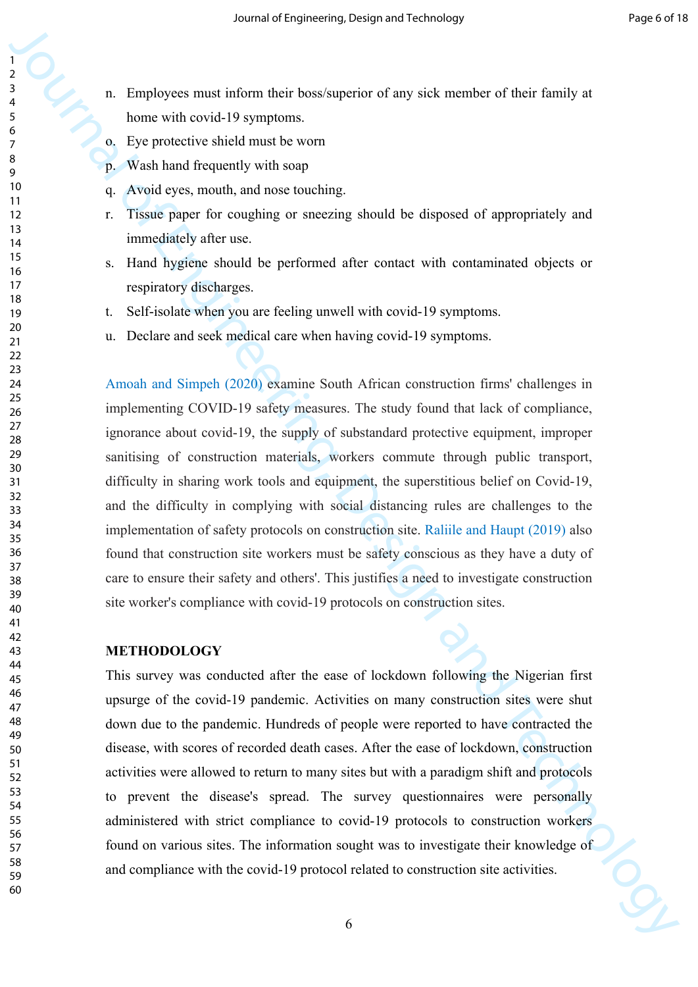- n. Employees must inform their boss/superior of any sick member of their family at home with covid-19 symptoms.
	- o. Eye protective shield must be worn
	- p. Wash hand frequently with soap
	- q. Avoid eyes, mouth, and nose touching.
	- r. Tissue paper for coughing or sneezing should be disposed of appropriately and immediately after use.
	- s. Hand hygiene should be performed after contact with contaminated objects or respiratory discharges.
	- t. Self-isolate when you are feeling unwell with covid-19 symptoms.
	- u. Declare and seek medical care when having covid-19 symptoms.

Journal of the control of the state of the state of the state of the state of the state of the state of the state of the state of the state of the state of the state of the state of the state of the state of the state of Amoah and Simpeh (2020) examine South African construction firms' challenges in implementing COVID-19 safety measures. The study found that lack of compliance, ignorance about covid-19, the supply of substandard protective equipment, improper sanitising of construction materials, workers commute through public transport, difficulty in sharing work tools and equipment, the superstitious belief on Covid-19, and the difficulty in complying with social distancing rules are challenges to the implementation of safety protocols on construction site. Raliile and Haupt (2019) also found that construction site workers must be safety conscious as they have a duty of care to ensure their safety and others'. This justifies a need to investigate construction site worker's compliance with covid-19 protocols on construction sites.

#### **METHODOLOGY**

This survey was conducted after the ease of lockdown following the Nigerian first upsurge of the covid-19 pandemic. Activities on many construction sites were shut down due to the pandemic. Hundreds of people were reported to have contracted the disease, with scores of recorded death cases. After the ease of lockdown, construction activities were allowed to return to many sites but with a paradigm shift and protocols to prevent the disease's spread. The survey questionnaires were personally administered with strict compliance to covid-19 protocols to construction workers found on various sites. The information sought was to investigate their knowledge of and compliance with the covid-19 protocol related to construction site activities.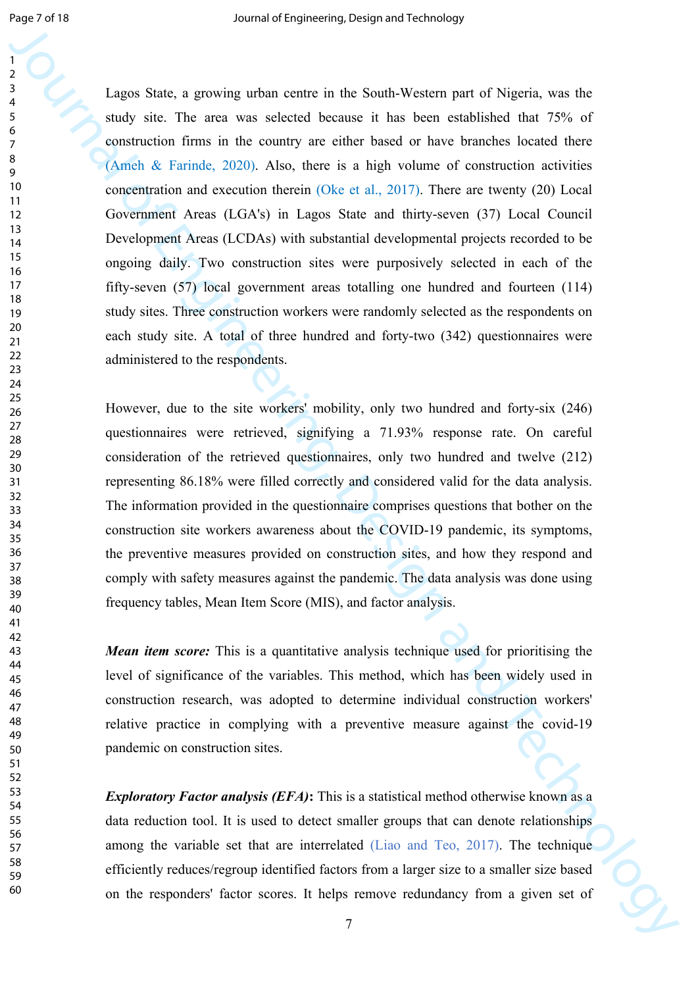**Legens States, a general or the second New York and Technology and Technology states and the Theorem second between the two methods that the second between the second between the two methods of the System and Technology** Lagos State, a growing urban centre in the South-Western part of Nigeria, was the study site. The area was selected because it has been established that 75% of construction firms in the country are either based or have branches located there (Ameh & Farinde, 2020). Also, there is a high volume of construction activities concentration and execution therein (Oke et al., 2017). There are twenty (20) Local Government Areas (LGA's) in Lagos State and thirty-seven (37) Local Council Development Areas (LCDAs) with substantial developmental projects recorded to be ongoing daily. Two construction sites were purposively selected in each of the fifty-seven (57) local government areas totalling one hundred and fourteen (114) study sites. Three construction workers were randomly selected as the respondents on each study site. A total of three hundred and forty-two (342) questionnaires were administered to the respondents.

However, due to the site workers' mobility, only two hundred and forty-six (246) questionnaires were retrieved, signifying a 71.93% response rate. On careful consideration of the retrieved questionnaires, only two hundred and twelve (212) representing 86.18% were filled correctly and considered valid for the data analysis. The information provided in the questionnaire comprises questions that bother on the construction site workers awareness about the COVID-19 pandemic, its symptoms, the preventive measures provided on construction sites, and how they respond and comply with safety measures against the pandemic. The data analysis was done using frequency tables, Mean Item Score (MIS), and factor analysis.

*Mean item score:* This is a quantitative analysis technique used for prioritising the level of significance of the variables. This method, which has been widely used in construction research, was adopted to determine individual construction workers' relative practice in complying with a preventive measure against the covid-19 pandemic on construction sites.

*Exploratory Factor analysis (EFA)*: This is a statistical method otherwise known as a data reduction tool. It is used to detect smaller groups that can denote relationships among the variable set that are interrelated (Liao and Teo, 2017). The technique efficiently reduces/regroup identified factors from a larger size to a smaller size based on the responders' factor scores. It helps remove redundancy from a given set of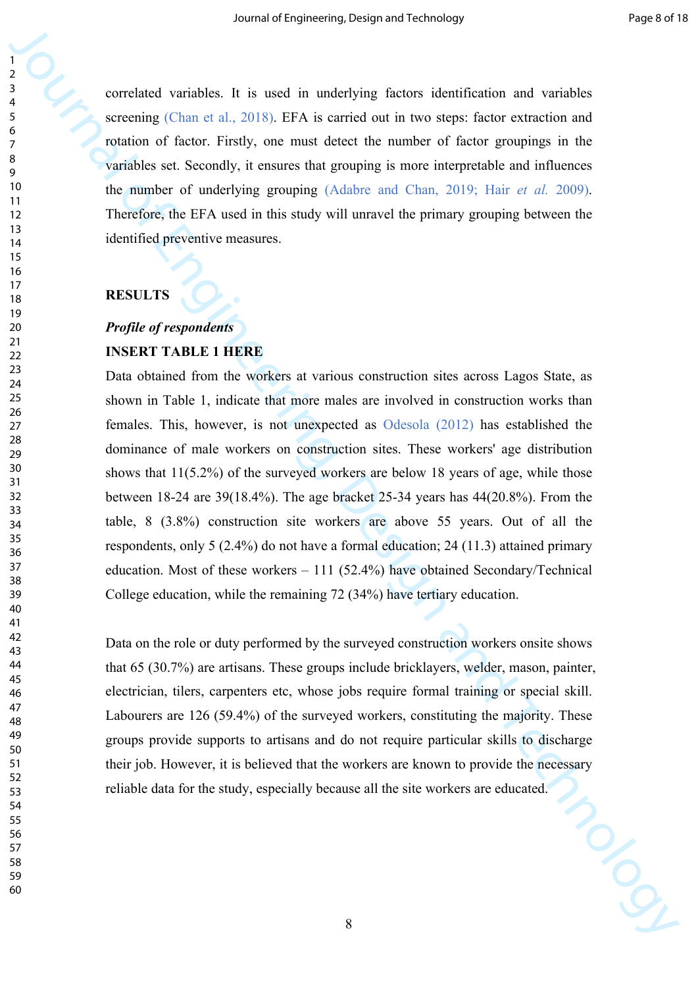correlated variables. It is used in underlying factors identification and variables screening (Chan et al., 2018). EFA is carried out in two steps: factor extraction and rotation of factor. Firstly, one must detect the number of factor groupings in the variables set. Secondly, it ensures that grouping is more interpretable and influences the number of underlying grouping (Adabre and Chan, 2019; Hair *et al.* 2009). Therefore, the EFA used in this study will unravel the primary grouping between the identified preventive measures.

#### **RESULTS**

# *Profile of respondents* **INSERT TABLE 1 HERE**

Solution of the state of the state of the state of the state of the state of the state of the state of the state of the state of the state of the state of the state of the state of the state of the state of the state of t Data obtained from the workers at various construction sites across Lagos State, as shown in Table 1, indicate that more males are involved in construction works than females. This, however, is not unexpected as Odesola (2012) has established the dominance of male workers on construction sites. These workers' age distribution shows that 11(5.2%) of the surveyed workers are below 18 years of age, while those between 18-24 are 39(18.4%). The age bracket 25-34 years has 44(20.8%). From the table, 8 (3.8%) construction site workers are above 55 years. Out of all the respondents, only 5 (2.4%) do not have a formal education; 24 (11.3) attained primary education. Most of these workers – 111 (52.4%) have obtained Secondary/Technical College education, while the remaining 72 (34%) have tertiary education.

Data on the role or duty performed by the surveyed construction workers onsite shows that 65 (30.7%) are artisans. These groups include bricklayers, welder, mason, painter, electrician, tilers, carpenters etc, whose jobs require formal training or special skill. Labourers are 126 (59.4%) of the surveyed workers, constituting the majority. These groups provide supports to artisans and do not require particular skills to discharge their job. However, it is believed that the workers are known to provide the necessary reliable data for the study, especially because all the site workers are educated.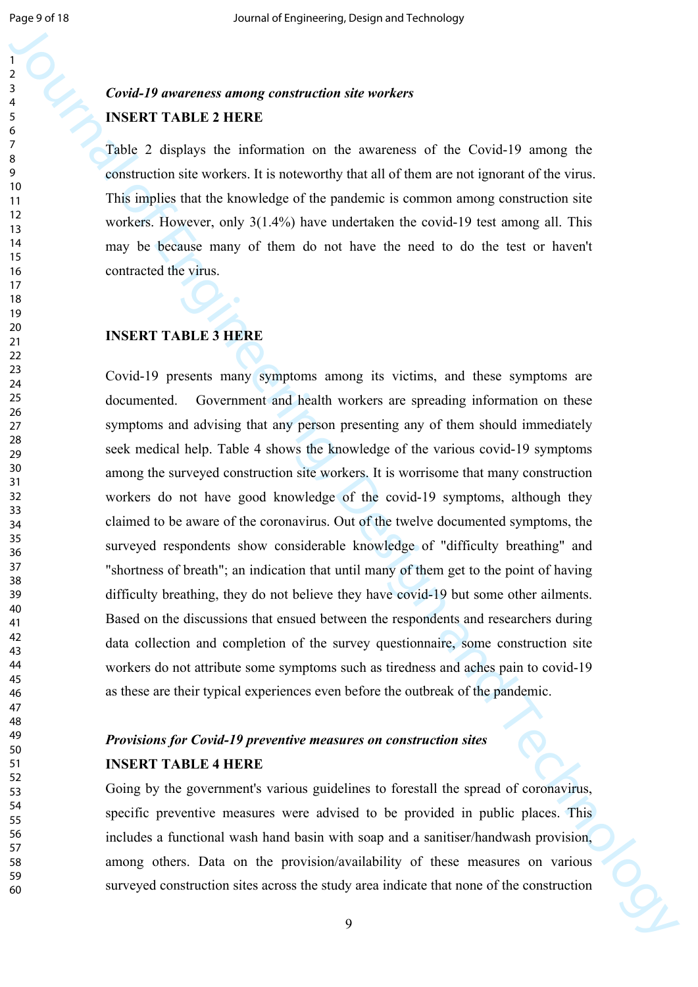# *Covid-19 awareness among construction site workers* **INSERT TABLE 2 HERE**

Table 2 displays the information on the awareness of the Covid-19 among the construction site workers. It is noteworthy that all of them are not ignorant of the virus. This implies that the knowledge of the pandemic is common among construction site workers. However, only 3(1.4%) have undertaken the covid-19 test among all. This may be because many of them do not have the need to do the test or haven't contracted the virus.

#### **INSERT TABLE 3 HERE**

Consider 3 per computer contained and the media of the Consider State and Technology and Consider an  $\frac{1}{2}$  and Consider 3 and Consider 3 and Consider 3 and Consider 3 and Consider 3 and Consider 3 and Consider 3 and C Covid-19 presents many symptoms among its victims, and these symptoms are documented. Government and health workers are spreading information on these symptoms and advising that any person presenting any of them should immediately seek medical help. Table 4 shows the knowledge of the various covid-19 symptoms among the surveyed construction site workers. It is worrisome that many construction workers do not have good knowledge of the covid-19 symptoms, although they claimed to be aware of the coronavirus. Out of the twelve documented symptoms, the surveyed respondents show considerable knowledge of "difficulty breathing" and "shortness of breath"; an indication that until many of them get to the point of having difficulty breathing, they do not believe they have covid-19 but some other ailments. Based on the discussions that ensued between the respondents and researchers during data collection and completion of the survey questionnaire, some construction site workers do not attribute some symptoms such as tiredness and aches pain to covid-19 as these are their typical experiences even before the outbreak of the pandemic.

# *Provisions for Covid-19 preventive measures on construction sites* **INSERT TABLE 4 HERE**

Going by the government's various guidelines to forestall the spread of coronavirus, specific preventive measures were advised to be provided in public places. This includes a functional wash hand basin with soap and a sanitiser/handwash provision, among others. Data on the provision/availability of these measures on various surveyed construction sites across the study area indicate that none of the construction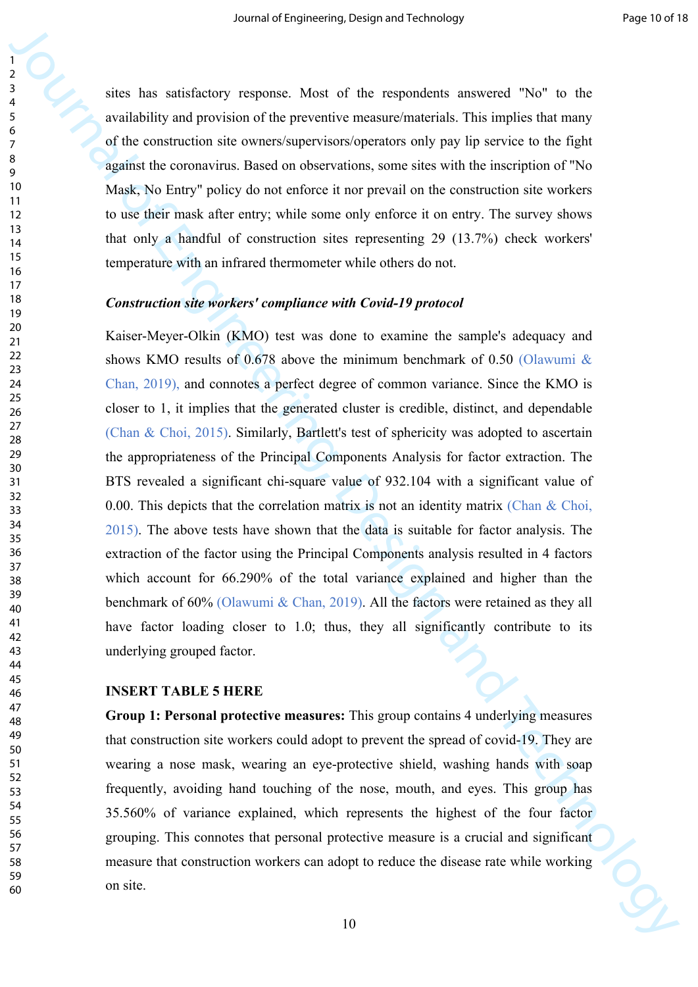sites has satisfactory response. Most of the respondents answered "No" to the availability and provision of the preventive measure/materials. This implies that many of the construction site owners/supervisors/operators only pay lip service to the fight against the coronavirus. Based on observations, some sites with the inscription of "No Mask, No Entry" policy do not enforce it nor prevail on the construction site workers to use their mask after entry; while some only enforce it on entry. The survey shows that only a handful of construction sites representing 29 (13.7%) check workers' temperature with an infrared thermometer while others do not.

#### *Construction site workers' compliance with Covid-19 protocol*

3<br>
3. Since has satisfactory corporate. Most of the compandent answered "No" to the symplectical particular of the present in technology in the symperic of the sympetry increasing and the magnitude of the present in the s Kaiser-Meyer-Olkin (KMO) test was done to examine the sample's adequacy and shows KMO results of 0.678 above the minimum benchmark of 0.50 (Olawumi & Chan, 2019), and connotes a perfect degree of common variance. Since the KMO is closer to 1, it implies that the generated cluster is credible, distinct, and dependable (Chan & Choi, 2015). Similarly, Bartlett's test of sphericity was adopted to ascertain the appropriateness of the Principal Components Analysis for factor extraction. The BTS revealed a significant chi-square value of 932.104 with a significant value of 0.00. This depicts that the correlation matrix is not an identity matrix (Chan & Choi, 2015). The above tests have shown that the data is suitable for factor analysis. The extraction of the factor using the Principal Components analysis resulted in 4 factors which account for 66.290% of the total variance explained and higher than the benchmark of 60% (Olawumi & Chan, 2019). All the factors were retained as they all have factor loading closer to 1.0; thus, they all significantly contribute to its underlying grouped factor.

#### **INSERT TABLE 5 HERE**

**Group 1: Personal protective measures:** This group contains 4 underlying measures that construction site workers could adopt to prevent the spread of covid-19. They are wearing a nose mask, wearing an eye-protective shield, washing hands with soap frequently, avoiding hand touching of the nose, mouth, and eyes. This group has 35.560% of variance explained, which represents the highest of the four factor grouping. This connotes that personal protective measure is a crucial and significant measure that construction workers can adopt to reduce the disease rate while working on site.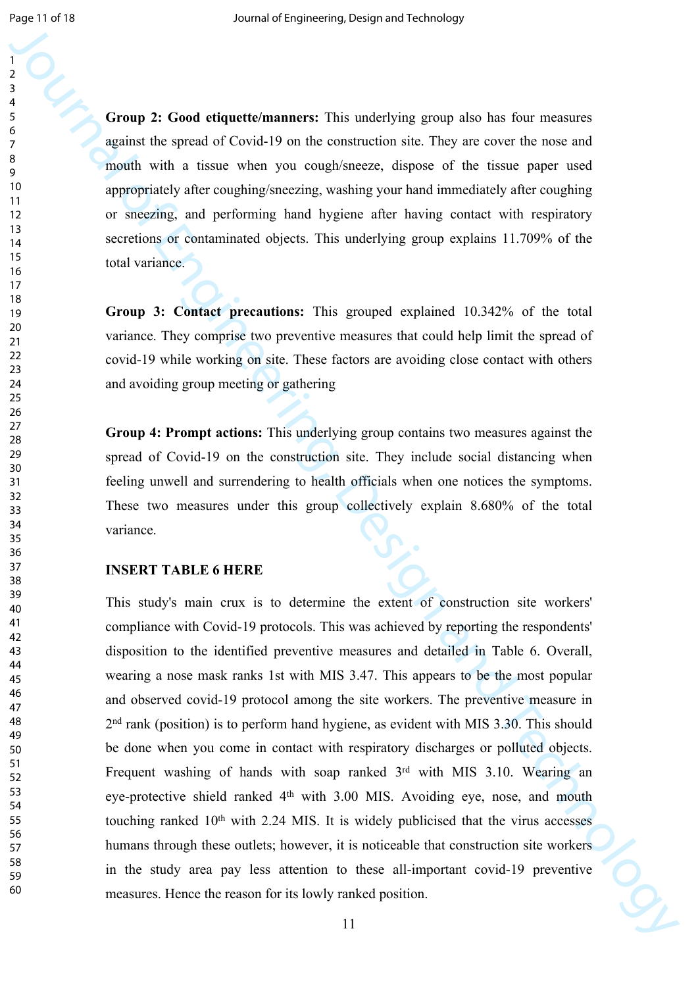**Group 2: Good etiquette/manners:** This underlying group also has four measures against the spread of Covid-19 on the construction site. They are cover the nose and mouth with a tissue when you cough/sneeze, dispose of the tissue paper used appropriately after coughing/sneezing, washing your hand immediately after coughing or sneezing, and performing hand hygiene after having contact with respiratory secretions or contaminated objects. This underlying group explains 11.709% of the total variance.

**Group 3: Contact precautions:** This grouped explained 10.342% of the total variance. They comprise two preventive measures that could help limit the spread of covid-19 while working on site. These factors are avoiding close contact with others and avoiding group meeting or gathering

**Group 4: Prompt actions:** This underlying group contains two measures against the spread of Covid-19 on the construction site. They include social distancing when feeling unwell and surrendering to health officials when one notices the symptoms. These two measures under this group collectively explain 8.680% of the total variance.

#### **INSERT TABLE 6 HERE**

Journal of Court of the case of the set of the set of the set of the set of the set of the set of the set of the set of the set of the set of the set of the set of the set of the set of the set of the set of the set of th This study's main crux is to determine the extent of construction site workers' compliance with Covid-19 protocols. This was achieved by reporting the respondents' disposition to the identified preventive measures and detailed in Table 6. Overall, wearing a nose mask ranks 1st with MIS 3.47. This appears to be the most popular and observed covid-19 protocol among the site workers. The preventive measure in 2<sup>nd</sup> rank (position) is to perform hand hygiene, as evident with MIS 3.30. This should be done when you come in contact with respiratory discharges or polluted objects. Frequent washing of hands with soap ranked 3rd with MIS 3.10. Wearing an eye-protective shield ranked 4th with 3.00 MIS. Avoiding eye, nose, and mouth touching ranked 10th with 2.24 MIS. It is widely publicised that the virus accesses humans through these outlets; however, it is noticeable that construction site workers in the study area pay less attention to these all-important covid-19 preventive measures. Hence the reason for its lowly ranked position.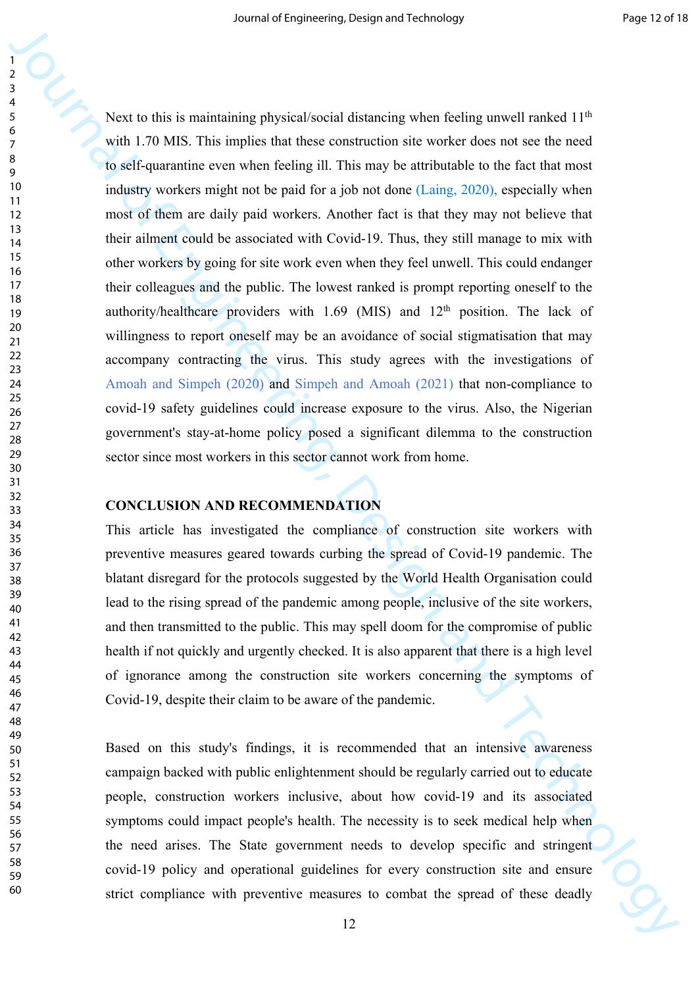3<br>
Journal of the six manufation physical social distanceing when feeling unwell ranked 114<br>
A next to find is manufation physical social distanceing when feeling unwell ranked 114<br>
outil 7.0 MKs. This imple is that thes Next to this is maintaining physical/social distancing when feeling unwell ranked 11<sup>th</sup> with 1.70 MIS. This implies that these construction site worker does not see the need to self-quarantine even when feeling ill. This may be attributable to the fact that most industry workers might not be paid for a job not done (Laing, 2020), especially when most of them are daily paid workers. Another fact is that they may not believe that their ailment could be associated with Covid-19. Thus, they still manage to mix with other workers by going for site work even when they feel unwell. This could endanger their colleagues and the public. The lowest ranked is prompt reporting oneself to the authority/healthcare providers with  $1.69$  (MIS) and  $12<sup>th</sup>$  position. The lack of willingness to report oneself may be an avoidance of social stigmatisation that may accompany contracting the virus. This study agrees with the investigations of Amoah and Simpeh (2020) and Simpeh and Amoah (2021) that non-compliance to covid-19 safety guidelines could increase exposure to the virus. Also, the Nigerian government's stay-at-home policy posed a significant dilemma to the construction sector since most workers in this sector cannot work from home.

#### **CONCLUSION AND RECOMMENDATION**

This article has investigated the compliance of construction site workers with preventive measures geared towards curbing the spread of Covid-19 pandemic. The blatant disregard for the protocols suggested by the World Health Organisation could lead to the rising spread of the pandemic among people, inclusive of the site workers, and then transmitted to the public. This may spell doom for the compromise of public health if not quickly and urgently checked. It is also apparent that there is a high level of ignorance among the construction site workers concerning the symptoms of Covid-19, despite their claim to be aware of the pandemic.

Based on this study's findings, it is recommended that an intensive awareness campaign backed with public enlightenment should be regularly carried out to educate people, construction workers inclusive, about how covid-19 and its associated symptoms could impact people's health. The necessity is to seek medical help when the need arises. The State government needs to develop specific and stringent covid-19 policy and operational guidelines for every construction site and ensure strict compliance with preventive measures to combat the spread of these deadly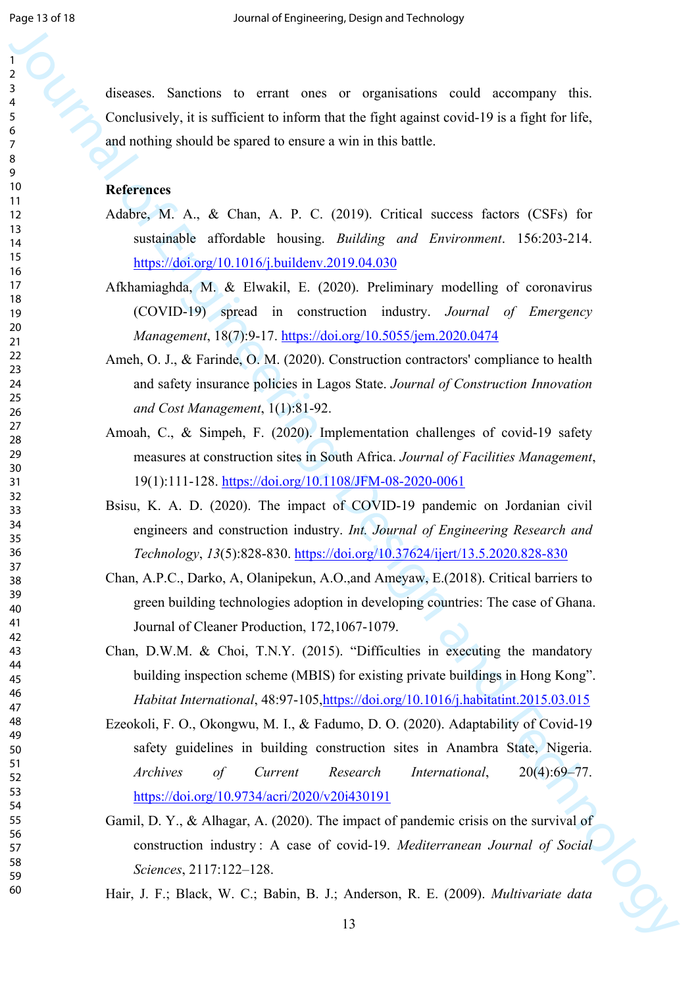diseases. Sanctions to errant ones or organisations could accompany this. Conclusively, it is sufficient to inform that the fight against covid-19 is a fight for life, and nothing should be spared to ensure a win in this battle.

#### **References**

- Adabre, M. A., & Chan, A. P. C. (2019). Critical success factors (CSFs) for sustainable affordable housing. *Building and Environment*. 156:203-214. https://doi.org/10.1016/j.buildenv.2019.04.030
- Afkhamiaghda, M. & Elwakil, E. (2020). Preliminary modelling of coronavirus (COVID-19) spread in construction industry. *Journal of Emergency Management*, 18(7):9-17. https://doi.org/10.5055/jem.2020.0474
- Ameh, O. J., & Farinde, O. M. (2020). Construction contractors' compliance to health and safety insurance policies in Lagos State. *Journal of Construction Innovation and Cost Management*, 1(1):81-92.
- Amoah, C., & Simpeh, F. (2020). Implementation challenges of covid-19 safety measures at construction sites in South Africa. *Journal of Facilities Management*, 19(1):111-128. https://doi.org/10.1108/JFM-08-2020-0061
- Bsisu, K. A. D. (2020). The impact of COVID-19 pandemic on Jordanian civil engineers and construction industry. *Int. Journal of Engineering Research and Technology*, *13*(5):828-830. https://doi.org/10.37624/ijert/13.5.2020.828-830
- Chan, A.P.C., Darko, A, Olanipekun, A.O.,and Ameyaw, E.(2018). Critical barriers to green building technologies adoption in developing countries: The case of Ghana. Journal of Cleaner Production, 172,1067-1079.
- Chan, D.W.M. & Choi, T.N.Y. (2015). "Difficulties in executing the mandatory building inspection scheme (MBIS) for existing private buildings in Hong Kong". *Habitat International*, 48:97-105,https://doi.org/10.1016/j.habitatint.2015.03.015
- Journal of the state of the state of the state of the state of the state of the state of the state of the state of the state of the state of the state of the state of the state of the state of the state of the state of th Ezeokoli, F. O., Okongwu, M. I., & Fadumo, D. O. (2020). Adaptability of Covid-19 safety guidelines in building construction sites in Anambra State, Nigeria. *Archives of Current Research International*, 20(4):69–77. https://doi.org/10.9734/acri/2020/v20i430191
	- Gamil, D. Y., & Alhagar, A. (2020). The impact of pandemic crisis on the survival of construction industry : A case of covid-19. *Mediterranean Journal of Social Sciences*, 2117:122–128.
	- Hair, J. F.; Black, W. C.; Babin, B. J.; Anderson, R. E. (2009). *Multivariate data*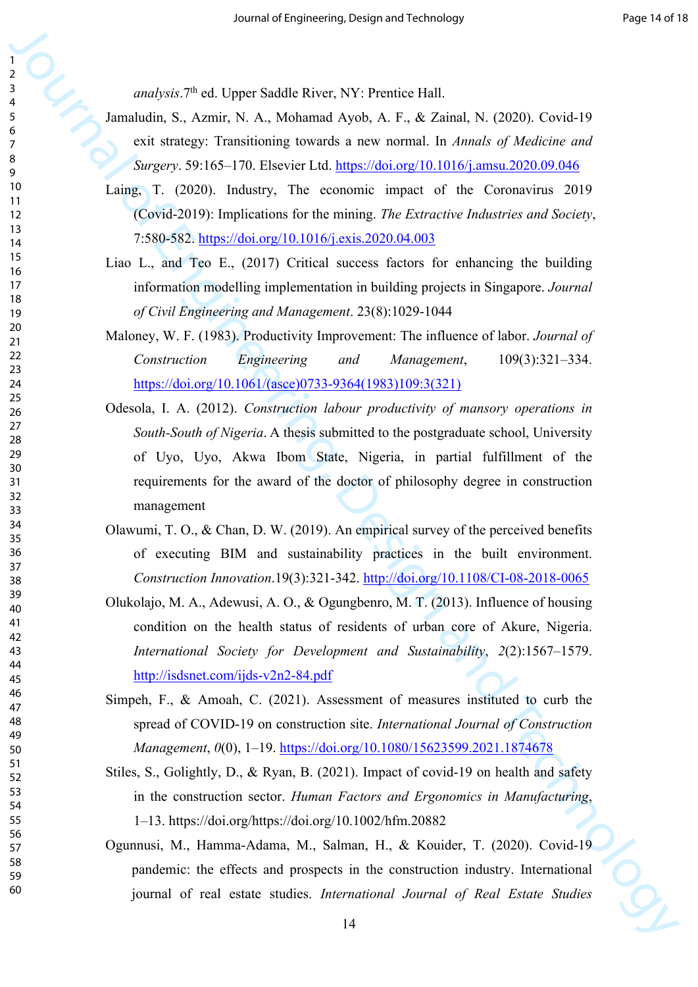*analysis*.7th ed. Upper Saddle River, NY: Prentice Hall.

- Jamaludin, S., Azmir, N. A., Mohamad Ayob, A. F., & Zainal, N. (2020). Covid-19 exit strategy: Transitioning towards a new normal. In *Annals of Medicine and Surgery*. 59:165–170. Elsevier Ltd. https://doi.org/10.1016/j.amsu.2020.09.046
- Laing, T. (2020). Industry, The economic impact of the Coronavirus 2019 (Covid-2019): Implications for the mining. *The Extractive Industries and Society*, 7:580-582. https://doi.org/10.1016/j.exis.2020.04.003
- Liao L., and Teo E., (2017) Critical success factors for enhancing the building information modelling implementation in building projects in Singapore. *Journal of Civil Engineering and Management*. 23(8):1029-1044
- Maloney, W. F. (1983). Productivity Improvement: The influence of labor. *Journal of Construction Engineering and Management*, 109(3):321–334. https://doi.org/10.1061/(asce)0733-9364(1983)109:3(321)
- 3<br>
3<br>
1. analysis,<sup>73</sup> et Upp[er](https://doi.org/10.1061/(asce)0733-9364(1983)109:3(321)) Saddis River, NY: Premier Ball.<br>
1. analysis, 7. angles, 1. Angles, 1. Between 181 and 2000, 1. Core (2. 1<br>
3. and 1. and 2. and 1. and 1. and 1. and 1. and 1. and 1. and 2. and 2.<br>
1. an Odesola, I. A. (2012). *Construction labour productivity of mansory operations in South-South of Nigeria*. A thesis submitted to the postgraduate school, University of Uyo, Uyo, Akwa Ibom State, Nigeria, in partial fulfillment of the requirements for the award of the doctor of philosophy degree in construction management
	- Olawumi, T. O., & Chan, D. W. (2019). An empirical survey of the perceived benefits of executing BIM and sustainability practices in the built environment. *Construction Innovation*.19(3):321-342. http://doi.org/10.1108/CI-08-2018-0065
	- Olukolajo, M. A., Adewusi, A. O., & Ogungbenro, M. T. (2013). Influence of housing condition on the health status of residents of urban core of Akure, Nigeria. *International Society for Development and Sustainability*, *2*(2):1567–1579. http://isdsnet.com/ijds-v2n2-84.pdf
	- Simpeh, F., & Amoah, C. (2021). Assessment of measures instituted to curb the spread of COVID-19 on construction site. *International Journal of Construction Management*, *0*(0), 1–19. https://doi.org/10.1080/15623599.2021.1874678
	- Stiles, S., Golightly, D., & Ryan, B. (2021). Impact of covid-19 on health and safety in the construction sector. *Human Factors and Ergonomics in Manufacturing*, 1–13. https://doi.org/https://doi.org/10.1002/hfm.20882
	- Ogunnusi, M., Hamma-Adama, M., Salman, H., & Kouider, T. (2020). Covid-19 pandemic: the effects and prospects in the construction industry. International journal of real estate studies. *International Journal of Real Estate Studies*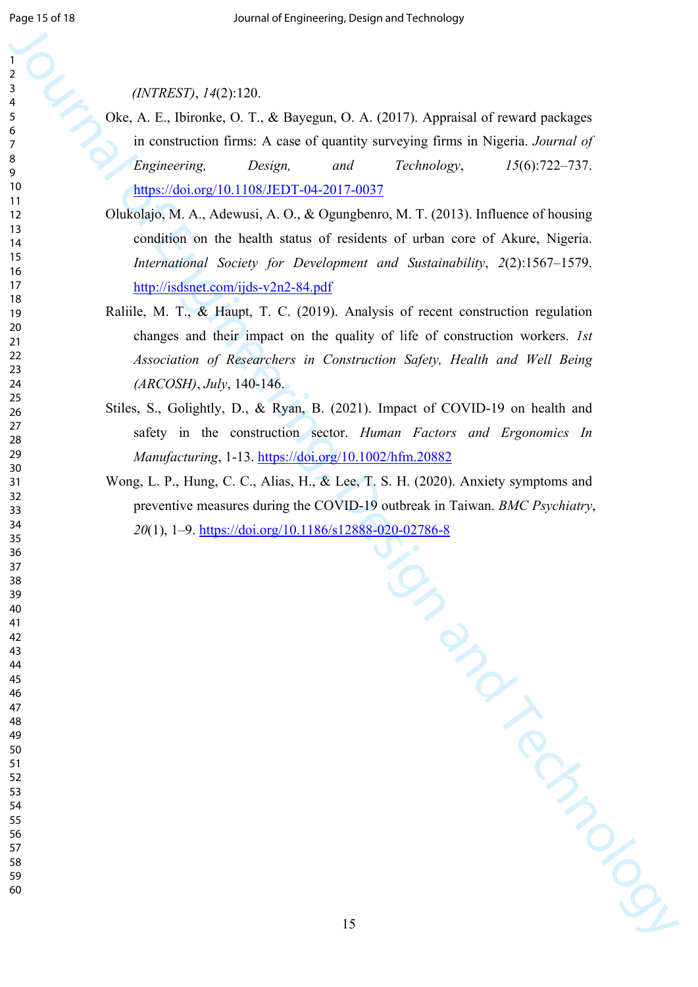- Oke, A. E., Ibironke, O. T., & Bayegun, O. A. (2017). Appraisal of reward packages in construction firms: A case of quantity surveying firms in Nigeria. *Journal of Engineering, Design, and Technology*, *15*(6):722–737. https://doi.org/10.1108/JEDT-04-2017-0037
- Olukolajo, M. A., Adewusi, A. O., & Ogungbenro, M. T. (2013). Influence of housing condition on the health status of residents of urban core of Akure, Nigeria. *International Society for Development and Sustainability*, *2*(2):1567–1579. http://isdsnet.com/ijds-v2n2-84.pdf
- Raliile, M. T., & Haupt, T. C. (2019). Analysis of recent construction regulation changes and their impact on the quality of life of construction workers. *1st Association of Researchers in Construction Safety, Health and Well Being (ARCOSH)*, *July*, 140-146.
- Stiles, S., Golightly, D., & Ryan, B. (2021). Impact of COVID-19 on health and safety in the construction sector. *Human Factors and Ergonomics In Manufacturing*, 1-13. https://doi.org/10.1002/hfm.20882
- Wong, L. P., Hung, C. C., Alias, H., & Lee, T. S. H. (2020). Anxiety symptoms and preventive measures during the COVID-19 outbreak in Taiwan. *BMC Psychiatry*, (1), 1–9. https://doi.org/10.1186/s12888-020-02786-8

| 1                     |                                                                                    |
|-----------------------|------------------------------------------------------------------------------------|
| $\boldsymbol{2}$<br>3 |                                                                                    |
| 4                     | (INTERST), 14(2): 120.                                                             |
| $\frac{5}{6}$         | Oke, A. E., Ibironke, O. T., & Bayegun, O. A. (2017). Appraisal of reward packages |
| $\overline{7}$        | in construction firms: A case of quantity surveying firms in Nigeria. Journal of   |
| 8                     | Engineering,<br>Design,<br>Technology,<br>$15(6)$ :722-737.<br>and                 |
| 9<br>10               | https://doi.org/10.1108/JEDT-04-2017-0037                                          |
| 11                    |                                                                                    |
| 12<br>13              | Olukolajo, M. A., Adewusi, A. O., & Ogungbenro, M. T. (2013). Influence of housing |
| 14                    | condition on the health status of residents of urban core of Akure, Nigeria.       |
| 15<br>16              | International Society for Development and Sustainability, 2(2):1567–1579.          |
| 17                    | http://isdsnet.com/ijds-v2n2-84.pdf                                                |
| 18<br>19              | Raliile, M. T., & Haupt, T. C. (2019). Analysis of recent construction regulation  |
| 20                    | changes and their impact on the quality of life of construction workers. Ist       |
| 21<br>22              | Association of Researchers in Construction Safety, Health and Well Being           |
| 23                    |                                                                                    |
| 24<br>25              | $(ARCOSH)$ , July, 140-146.                                                        |
| 26                    | Stiles, S., Golightly, D., & Ryan, B. (2021). Impact of COVID-19 on health and     |
| 27<br>28              | safety in the construction sector. Human Factors and Ergonomics In                 |
| 29<br>30              | Manufacturing, 1-13. https://doi.org/10.1002/hfm.20882                             |
| 31                    | Wong, L. P., Hung, C. C., Alias, H., & Lee, T. S. H. (2020). Anxiety symptoms and  |
| 32<br>33              | preventive measures during the COVID-19 outbreak in Taiwan. BMC Psychiatry,        |
| 34                    | 20(1), 1-9. https://doi.org/10.1186/s12888-020-02786-8                             |
| 35<br>36              |                                                                                    |
| 37                    |                                                                                    |
| 38<br>39              |                                                                                    |
| 40                    |                                                                                    |
| 41<br>42              |                                                                                    |
| 43                    |                                                                                    |
| 44<br>45              |                                                                                    |
| 46                    |                                                                                    |
| 47<br>48              |                                                                                    |
| 49                    |                                                                                    |
| 50<br>51              |                                                                                    |
| 52                    |                                                                                    |
| 53<br>54              |                                                                                    |
| 55<br>56              |                                                                                    |
| 57                    |                                                                                    |
| 58<br>59              |                                                                                    |
| 60                    |                                                                                    |
|                       |                                                                                    |
|                       | 15                                                                                 |
|                       |                                                                                    |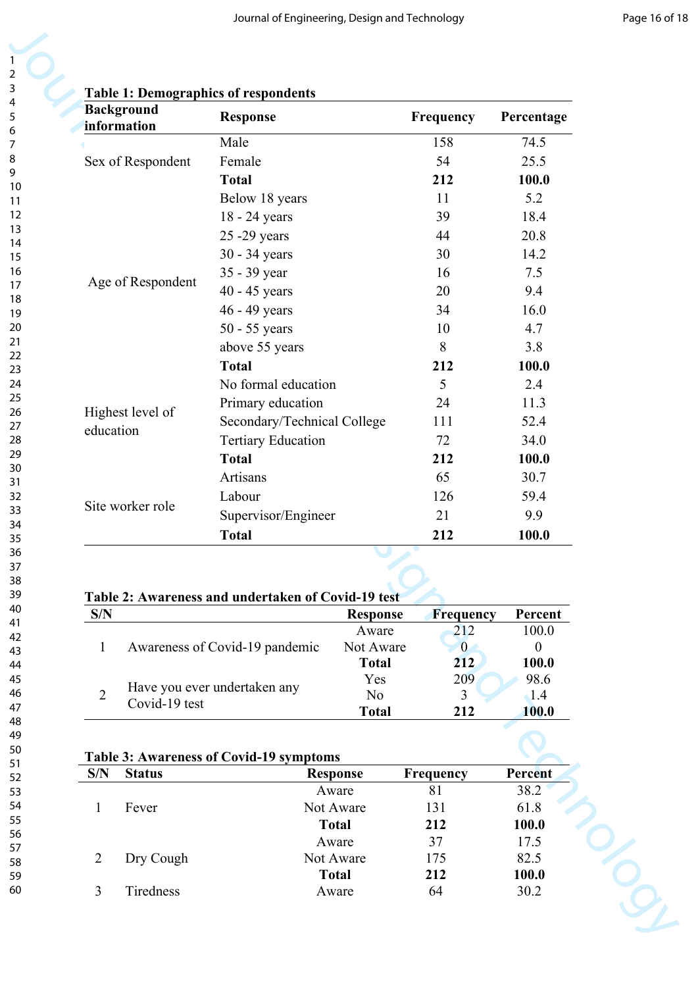|                                  | <b>Table 1: Demographics of respondents</b>        |                           |                         |                  |
|----------------------------------|----------------------------------------------------|---------------------------|-------------------------|------------------|
| <b>Background</b><br>information | <b>Response</b>                                    |                           | Frequency               | Percentage       |
|                                  | Male                                               |                           | 158                     | 74.5             |
| Sex of Respondent                | Female                                             |                           | 54                      | 25.5             |
|                                  | <b>Total</b>                                       |                           | 212                     | 100.0            |
|                                  | Below 18 years                                     |                           | 11                      | 5.2              |
|                                  | 18 - 24 years                                      |                           | 39                      | 18.4             |
|                                  | 25 - 29 years                                      |                           | 44                      | 20.8             |
|                                  | 30 - 34 years                                      |                           | 30                      | 14.2             |
|                                  | 35 - 39 year                                       |                           | 16                      | 7.5              |
| Age of Respondent                | 40 - 45 years                                      |                           | 20                      | 9.4              |
|                                  | 46 - 49 years                                      |                           | 34                      | 16.0             |
|                                  | 50 - 55 years                                      |                           | 10                      | 4.7              |
|                                  | above 55 years                                     |                           | 8                       | 3.8              |
|                                  | <b>Total</b>                                       |                           | 212                     | 100.0            |
|                                  | No formal education                                |                           | 5                       | 2.4              |
|                                  | Primary education                                  |                           | 24                      | 11.3             |
| Highest level of                 | Secondary/Technical College                        |                           | 111                     | 52.4             |
| education                        | <b>Tertiary Education</b>                          |                           | 72                      | 34.0             |
|                                  | <b>Total</b>                                       |                           | 212                     | 100.0            |
|                                  | Artisans                                           |                           | 65                      | 30.7             |
|                                  | Labour                                             |                           | 126                     | 59.4             |
| Site worker role                 | Supervisor/Engineer                                |                           | 21                      | 9.9              |
|                                  | <b>Total</b>                                       |                           | 212                     | 100.0            |
|                                  | Table 2: Awareness and undertaken of Covid-19 test |                           |                         |                  |
|                                  |                                                    | <b>Response</b><br>Aware  | <b>Frequency</b><br>212 | Percent<br>100.0 |
| S/N                              |                                                    |                           |                         | $\overline{0}$   |
|                                  |                                                    |                           |                         |                  |
| $\mathbf{1}$                     | Awareness of Covid-19 pandemic                     | Not Aware<br><b>Total</b> | $\mathbf{0}$<br>212     | 100.0            |
|                                  |                                                    | Yes                       | 209                     | 98.6             |
| $\overline{2}$                   | Have you ever undertaken any                       | N <sub>0</sub>            | $\overline{3}$          | $\triangle$ 1.4  |
| Covid-19 test                    |                                                    | <b>Total</b>              | 212                     | 100.0            |
|                                  |                                                    |                           |                         |                  |
| S/N<br><b>Status</b>             | <b>Table 3: Awareness of Covid-19 symptoms</b>     | <b>Response</b>           | Frequency               | Percent          |
|                                  |                                                    | Aware                     | 81                      | 38.2             |
| Fever<br>1                       |                                                    | Not Aware                 | 131                     | 61.8             |
|                                  |                                                    | <b>Total</b>              | 212                     | 100.0            |
|                                  |                                                    | Aware                     | 37                      | 17.5             |
| Dry Cough<br>$\overline{2}$      |                                                    | Not Aware<br><b>Total</b> | 175<br>212              | 82.5<br>100.0    |

## **Table 2: Awareness and undertaken of Covid-19 test**

| S/N |                                | <b>Response</b> | <b>Frequency</b> | Percent |
|-----|--------------------------------|-----------------|------------------|---------|
|     |                                | Aware           | 212              | 100.0   |
|     | Awareness of Covid-19 pandemic | Not Aware       |                  |         |
|     |                                | <b>Total</b>    | 212              | 100.0   |
|     |                                | Yes             | 209              | 98.6    |
|     | Have you ever undertaken any   | N <sub>0</sub>  |                  | 1.4     |
|     | Covid-19 test                  | <b>Total</b>    | 212              | 100.0   |

## **Table 3: Awareness of Covid-19 symptoms**

| S/N | <b>Status</b> | <b>Response</b> | Frequency | Percent |
|-----|---------------|-----------------|-----------|---------|
|     |               | Aware           | 81        | 38.2    |
|     | Fever         | Not Aware       | 131       | 61.8    |
|     |               | <b>Total</b>    | 212       | 100.0   |
|     |               | Aware           | 37        | 17.5    |
|     | Dry Cough     | Not Aware       | 175       | 82.5    |
|     |               | <b>Total</b>    | 212       | 100.0   |
|     | Tiredness     | Aware           | 64        | 30.2    |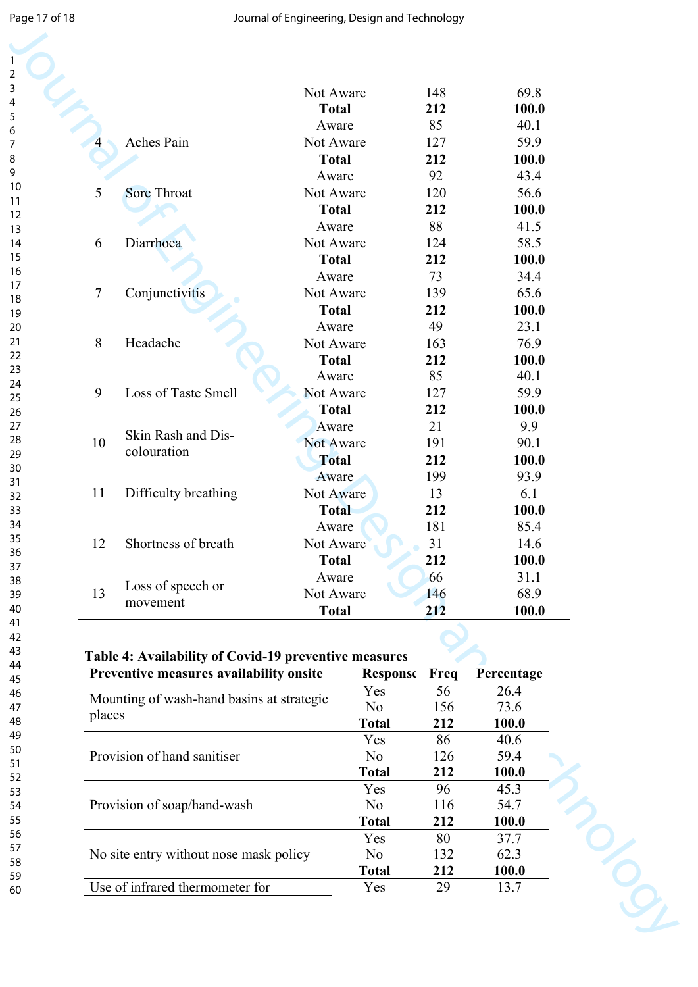|        |                                                                                                  | Not Aware    |                     | 148       | 69.8          |
|--------|--------------------------------------------------------------------------------------------------|--------------|---------------------|-----------|---------------|
|        |                                                                                                  | <b>Total</b> |                     | 212       | 100.0         |
|        |                                                                                                  | Aware        |                     | 85        | 40.1          |
|        | Aches Pain                                                                                       | Not Aware    |                     | 127       | 59.9          |
|        |                                                                                                  | <b>Total</b> |                     | 212       | 100.0         |
|        |                                                                                                  | Aware        |                     | 92        | 43.4          |
| 5      | Sore Throat                                                                                      | Not Aware    |                     | 120       | 56.6          |
|        |                                                                                                  | <b>Total</b> |                     | 212       | 100.0         |
|        |                                                                                                  | Aware        |                     | 88        | 41.5          |
| 6      | Diarrhoea                                                                                        | Not Aware    |                     | 124       | 58.5          |
|        |                                                                                                  | <b>Total</b> |                     | 212       | 100.0         |
|        |                                                                                                  | Aware        |                     | 73        | 34.4          |
| 7      | Conjunctivitis                                                                                   | Not Aware    |                     | 139       | 65.6          |
|        |                                                                                                  | <b>Total</b> |                     | 212       | 100.0         |
|        |                                                                                                  | Aware        |                     | 49        | 23.1          |
| 8      | Headache                                                                                         | Not Aware    |                     | 163       | 76.9          |
|        |                                                                                                  | <b>Total</b> |                     | 212       | 100.0         |
|        |                                                                                                  | Aware        |                     | 85        | 40.1          |
| 9      | Loss of Taste Smell                                                                              | Not Aware    |                     | 127       | 59.9          |
|        |                                                                                                  | <b>Total</b> |                     | 212       | 100.0         |
|        |                                                                                                  | Aware        |                     | 21        | 9.9           |
| 10     | Skin Rash and Dis-                                                                               | Not Aware    |                     | 191       | 90.1          |
|        | colouration                                                                                      | <b>Total</b> |                     | 212       | 100.0         |
|        |                                                                                                  | Aware        |                     | 199       | 93.9          |
| 11     | Difficulty breathing                                                                             | Not Aware    |                     | 13        | 6.1           |
|        |                                                                                                  | <b>Total</b> |                     | 212       | 100.0         |
|        |                                                                                                  | Aware        |                     | 181       | 85.4          |
| 12     | Shortness of breath                                                                              | Not Aware    |                     | 31        | 14.6          |
|        |                                                                                                  | <b>Total</b> |                     | 212       | 100.0         |
|        |                                                                                                  | Aware        |                     | 66        | 31.1          |
| 13     | Loss of speech or                                                                                | Not Aware    |                     | 146       | 68.9          |
|        | movement                                                                                         | <b>Total</b> |                     | 212       | 100.0         |
|        |                                                                                                  |              |                     |           |               |
|        | Table 4: Availability of Covid-19 preventive measures<br>Preventive measures availability onsite |              | <b>Response</b>     | Freq      | Percentage    |
|        |                                                                                                  |              | Yes                 | 56        | 26.4          |
|        | Mounting of wash-hand basins at strategic                                                        |              | N <sub>o</sub>      | 156       | 73.6          |
| places |                                                                                                  |              | <b>Total</b>        | 212       | 100.0         |
|        |                                                                                                  |              | Yes                 | 86        | 40.6          |
|        | Provision of hand sanitiser                                                                      |              | N <sub>o</sub>      | 126       | 59.4          |
|        |                                                                                                  |              | <b>Total</b>        | 212       | 100.0         |
|        |                                                                                                  |              | Yes                 | 96        | 45.3          |
|        |                                                                                                  |              | N <sub>o</sub>      | 116       | 54.7          |
|        |                                                                                                  |              | <b>Total</b>        | 212       | 100.0         |
|        | Provision of soap/hand-wash                                                                      |              |                     |           |               |
|        |                                                                                                  |              |                     |           |               |
|        |                                                                                                  |              | Yes                 | 80        | 37.7          |
|        | No site entry without nose mask policy                                                           |              | N <sub>o</sub>      | 132       | 62.3          |
|        | Use of infrared thermometer for                                                                  |              | <b>Total</b><br>Yes | 212<br>29 | 100.0<br>13.7 |

#### **Table 4: Availability of Covid-19 preventive measures**

| Preventive measures availability onsite   | Response       | Freq | Percentage |
|-------------------------------------------|----------------|------|------------|
|                                           | Yes            | 56   | 26.4       |
| Mounting of wash-hand basins at strategic | N <sub>0</sub> | 156  | 73.6       |
| places                                    | <b>Total</b>   | 212  | 100.0      |
|                                           | Yes            | 86   | 40.6       |
| Provision of hand sanitiser               | N <sub>0</sub> | 126  | 59.4       |
|                                           | <b>Total</b>   | 212  | 100.0      |
|                                           | Yes            | 96   | 45.3       |
| Provision of soap/hand-wash               | N <sub>0</sub> | 116  | 54.7       |
|                                           | <b>Total</b>   | 212  | 100.0      |
|                                           | Yes            | 80   | 37.7       |
| No site entry without nose mask policy    | N <sub>0</sub> | 132  | 62.3       |
|                                           | <b>Total</b>   | 212  | 100.0      |
| Use of infrared thermometer for           | Yes            | 29   | 13.7       |